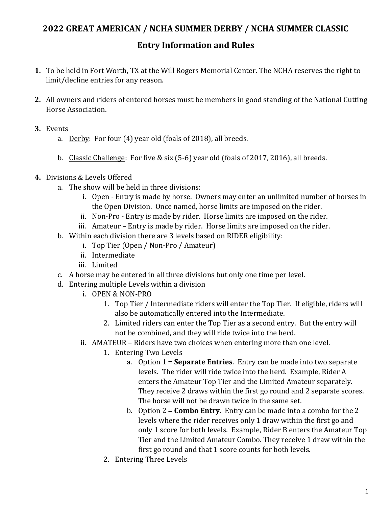# 2022 GREAT AMERICAN / NCHA SUMMER DERBY / NCHA SUMMER CLASSIC

# Entry Information and Rules

- 1. To be held in Fort Worth, TX at the Will Rogers Memorial Center. The NCHA reserves the right to limit/decline entries for any reason.
- 2. All owners and riders of entered horses must be members in good standing of the National Cutting Horse Association.
- 3. Events
	- a. Derby: For four (4) year old (foals of 2018), all breeds.
	- b. Classic Challenge: For five & six (5-6) year old (foals of 2017, 2016), all breeds.
- 4. Divisions & Levels Offered
	- a. The show will be held in three divisions:
		- i. Open Entry is made by horse. Owners may enter an unlimited number of horses in the Open Division. Once named, horse limits are imposed on the rider.
		- ii. Non-Pro Entry is made by rider. Horse limits are imposed on the rider.
		- iii. Amateur Entry is made by rider. Horse limits are imposed on the rider.
	- b. Within each division there are 3 levels based on RIDER eligibility:
		- i. Top Tier (Open / Non-Pro / Amateur)
		- ii. Intermediate
		- iii. Limited
	- c. A horse may be entered in all three divisions but only one time per level.
	- d. Entering multiple Levels within a division
		- i. OPEN & NON-PRO
			- 1. Top Tier / Intermediate riders will enter the Top Tier. If eligible, riders will also be automatically entered into the Intermediate.
			- 2. Limited riders can enter the Top Tier as a second entry. But the entry will not be combined, and they will ride twice into the herd.
		- ii. AMATEUR Riders have two choices when entering more than one level.
			- 1. Entering Two Levels
				- a. Option  $1 =$  **Separate Entries**. Entry can be made into two separate levels. The rider will ride twice into the herd. Example, Rider A enters the Amateur Top Tier and the Limited Amateur separately. They receive 2 draws within the first go round and 2 separate scores. The horse will not be drawn twice in the same set.
				- b. Option  $2 =$  **Combo Entry**. Entry can be made into a combo for the 2 levels where the rider receives only 1 draw within the first go and only 1 score for both levels. Example, Rider B enters the Amateur Top Tier and the Limited Amateur Combo. They receive 1 draw within the first go round and that 1 score counts for both levels.
			- 2. Entering Three Levels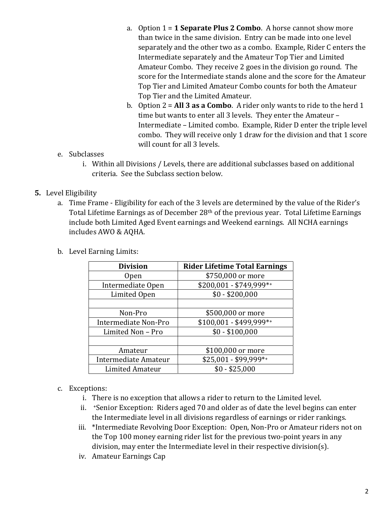- a. Option  $1 = 1$  Separate Plus 2 Combo. A horse cannot show more than twice in the same division. Entry can be made into one level separately and the other two as a combo. Example, Rider C enters the Intermediate separately and the Amateur Top Tier and Limited Amateur Combo. They receive 2 goes in the division go round. The score for the Intermediate stands alone and the score for the Amateur Top Tier and Limited Amateur Combo counts for both the Amateur Top Tier and the Limited Amateur.
- b. Option  $2 = All 3$  as a Combo. A rider only wants to ride to the herd 1 time but wants to enter all 3 levels. They enter the Amateur – Intermediate – Limited combo. Example, Rider D enter the triple level combo. They will receive only 1 draw for the division and that 1 score will count for all 3 levels.

#### e. Subclasses

i. Within all Divisions / Levels, there are additional subclasses based on additional criteria. See the Subclass section below.

### 5. Level Eligibility

- a. Time Frame Eligibility for each of the 3 levels are determined by the value of the Rider's Total Lifetime Earnings as of December 28th of the previous year. Total Lifetime Earnings include both Limited Aged Event earnings and Weekend earnings. All NCHA earnings includes AWO & AQHA.
- b. Level Earning Limits:

| <b>Division</b>             | <b>Rider Lifetime Total Earnings</b> |
|-----------------------------|--------------------------------------|
| 0pen                        | \$750,000 or more                    |
| Intermediate Open           | $$200,001 - $749,999**$              |
| Limited Open                | $$0 - $200,000$                      |
|                             |                                      |
| Non-Pro                     | \$500,000 or more                    |
| <b>Intermediate Non-Pro</b> | $$100,001 - $499,999**$              |
| Limited Non - Pro           | $$0 - $100,000$                      |
|                             |                                      |
| Amateur                     | \$100,000 or more                    |
| Intermediate Amateur        | \$25,001 - \$99,999*+                |
| Limited Amateur             | $$0 - $25,000$                       |

#### c. Exceptions:

- i. There is no exception that allows a rider to return to the Limited level.
- ii. +Senior Exception: Riders aged 70 and older as of date the level begins can enter the Intermediate level in all divisions regardless of earnings or rider rankings.
- iii. \*Intermediate Revolving Door Exception: Open, Non-Pro or Amateur riders not on the Top 100 money earning rider list for the previous two-point years in any division, may enter the Intermediate level in their respective division(s).
- iv. Amateur Earnings Cap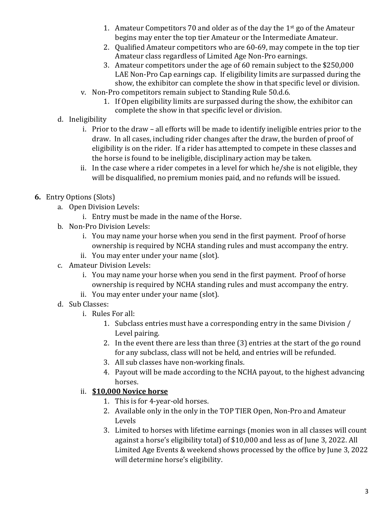- 1. Amateur Competitors 70 and older as of the day the  $1<sup>st</sup>$  go of the Amateur begins may enter the top tier Amateur or the Intermediate Amateur.
- 2. Qualified Amateur competitors who are 60-69, may compete in the top tier Amateur class regardless of Limited Age Non-Pro earnings.
- 3. Amateur competitors under the age of 60 remain subject to the \$250,000 LAE Non-Pro Cap earnings cap. If eligibility limits are surpassed during the show, the exhibitor can complete the show in that specific level or division.
- v. Non-Pro competitors remain subject to Standing Rule 50.d.6.
	- 1. If Open eligibility limits are surpassed during the show, the exhibitor can complete the show in that specific level or division.
- d. Ineligibility
	- i. Prior to the draw all efforts will be made to identify ineligible entries prior to the draw. In all cases, including rider changes after the draw, the burden of proof of eligibility is on the rider. If a rider has attempted to compete in these classes and the horse is found to be ineligible, disciplinary action may be taken.
	- ii. In the case where a rider competes in a level for which he/she is not eligible, they will be disqualified, no premium monies paid, and no refunds will be issued.
- 6. Entry Options (Slots)
	- a. Open Division Levels:
		- i. Entry must be made in the name of the Horse.
	- b. Non-Pro Division Levels:
		- i. You may name your horse when you send in the first payment. Proof of horse ownership is required by NCHA standing rules and must accompany the entry.
		- ii. You may enter under your name (slot).
	- c. Amateur Division Levels:
		- i. You may name your horse when you send in the first payment. Proof of horse ownership is required by NCHA standing rules and must accompany the entry.
		- ii. You may enter under your name (slot).
	- d. Sub Classes:
		- i. Rules For all:
			- 1. Subclass entries must have a corresponding entry in the same Division / Level pairing.
			- 2. In the event there are less than three (3) entries at the start of the go round for any subclass, class will not be held, and entries will be refunded.
			- 3. All sub classes have non-working finals.
			- 4. Payout will be made according to the NCHA payout, to the highest advancing horses.

## ii. \$10,000 Novice horse

- 1. This is for 4-year-old horses.
- 2. Available only in the only in the TOP TIER Open, Non-Pro and Amateur Levels
- 3. Limited to horses with lifetime earnings (monies won in all classes will count against a horse's eligibility total) of \$10,000 and less as of June 3, 2022. All Limited Age Events & weekend shows processed by the office by June 3, 2022 will determine horse's eligibility.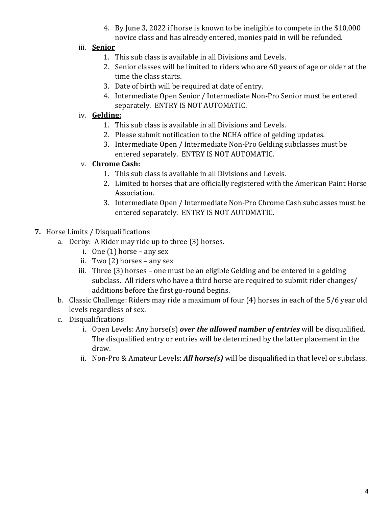4. By June 3, 2022 if horse is known to be ineligible to compete in the \$10,000 novice class and has already entered, monies paid in will be refunded.

## iii. Senior

- 1. This sub class is available in all Divisions and Levels.
- 2. Senior classes will be limited to riders who are 60 years of age or older at the time the class starts.
- 3. Date of birth will be required at date of entry.
- 4. Intermediate Open Senior / Intermediate Non-Pro Senior must be entered separately. ENTRY IS NOT AUTOMATIC.

## iv. Gelding:

- 1. This sub class is available in all Divisions and Levels.
- 2. Please submit notification to the NCHA office of gelding updates.
- 3. Intermediate Open / Intermediate Non-Pro Gelding subclasses must be entered separately. ENTRY IS NOT AUTOMATIC.

## v. Chrome Cash:

- 1. This sub class is available in all Divisions and Levels.
- 2. Limited to horses that are officially registered with the American Paint Horse Association.
- 3. Intermediate Open / Intermediate Non-Pro Chrome Cash subclasses must be entered separately. ENTRY IS NOT AUTOMATIC.
- 7. Horse Limits / Disqualifications
	- a. Derby: A Rider may ride up to three (3) horses.
		- i. One  $(1)$  horse any sex
		- ii. Two (2) horses any sex
		- iii. Three (3) horses one must be an eligible Gelding and be entered in a gelding subclass. All riders who have a third horse are required to submit rider changes/ additions before the first go-round begins.
	- b. Classic Challenge: Riders may ride a maximum of four (4) horses in each of the 5/6 year old levels regardless of sex.
	- c. Disqualifications
		- i. Open Levels: Any horse(s) over the allowed number of entries will be disqualified. The disqualified entry or entries will be determined by the latter placement in the draw.
		- ii. Non-Pro & Amateur Levels: All horse(s) will be disqualified in that level or subclass.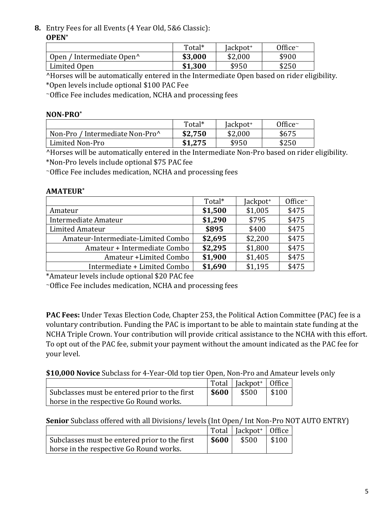#### 8. Entry Fees for all Events (4 Year Old, 5&6 Classic): OPEN\*

|                                       | Total*  | Jackpot <sup>+</sup> | Office $\sim$ |
|---------------------------------------|---------|----------------------|---------------|
| Open / Intermediate Open <sup>^</sup> | \$3,000 | \$2,000              | \$900         |
| Limited Open                          | \$1,300 | \$950                | \$250         |

^Horses will be automatically entered in the Intermediate Open based on rider eligibility. \*Open levels include optional \$100 PAC Fee

<sup>~</sup>Office Fee includes medication, NCHA and processing fees

#### NON-PRO\*

|                                 | Total*  | ackpot <sup>+</sup> | Office $\sim$ |
|---------------------------------|---------|---------------------|---------------|
| Non-Pro / Intermediate Non-Pro^ | \$2,750 | \$2,000             | \$675         |
| Limited Non-Pro                 | \$1.275 | \$950               | \$250         |

^Horses will be automatically entered in the Intermediate Non-Pro based on rider eligibility. \*Non-Pro levels include optional \$75 PAC fee

<sup>~</sup>Office Fee includes medication, NCHA and processing fees

#### AMATEUR\*

|                                    | Total*  | Jackpot <sup>+</sup> | Office~ |
|------------------------------------|---------|----------------------|---------|
| Amateur                            | \$1,500 | \$1,005              | \$475   |
| Intermediate Amateur               | \$1,290 | \$795                | \$475   |
| Limited Amateur                    | \$895   | \$400                | \$475   |
| Amateur-Intermediate-Limited Combo | \$2,695 | \$2,200              | \$475   |
| Amateur + Intermediate Combo       | \$2,295 | \$1,800              | \$475   |
| Amateur + Limited Combo            | \$1,900 | \$1,405              | \$475   |
| Intermediate + Limited Combo       | \$1,690 | \$1,195              | \$475   |

\*Amateur levels include optional \$20 PAC fee

<sup>~</sup>Office Fee includes medication, NCHA and processing fees

PAC Fees: Under Texas Election Code, Chapter 253, the Political Action Committee (PAC) fee is a voluntary contribution. Funding the PAC is important to be able to maintain state funding at the NCHA Triple Crown. Your contribution will provide critical assistance to the NCHA with this effort. To opt out of the PAC fee, submit your payment without the amount indicated as the PAC fee for your level.

### \$10,000 Novice Subclass for 4-Year-Old top tier Open, Non-Pro and Amateur levels only

|                                               |       | Total   Jackpot <sup>+</sup>   Office |       |
|-----------------------------------------------|-------|---------------------------------------|-------|
| Subclasses must be entered prior to the first | \$600 | \$500                                 | \$100 |
| horse in the respective Go Round works.       |       |                                       |       |

Senior Subclass offered with all Divisions/ levels (Int Open/ Int Non-Pro NOT AUTO ENTRY)

|                                               |       | Total   $[ackpot+$   Office |  |
|-----------------------------------------------|-------|-----------------------------|--|
| Subclasses must be entered prior to the first | \$600 | $$500$   \$100              |  |
| horse in the respective Go Round works.       |       |                             |  |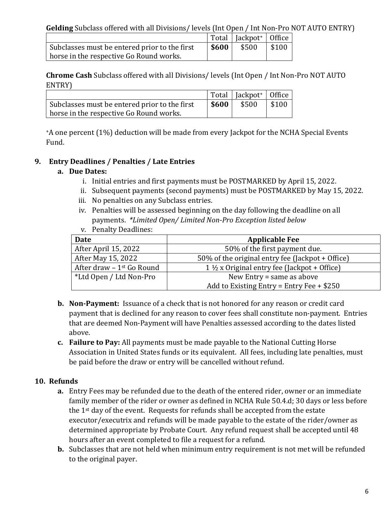|                                               |         | $\vert$ Total $\vert$ Jackpot <sup>+</sup> $\vert$ Office |       |
|-----------------------------------------------|---------|-----------------------------------------------------------|-------|
| Subclasses must be entered prior to the first | $\$600$ | \$500                                                     | \$100 |
| horse in the respective Go Round works.       |         |                                                           |       |

Chrome Cash Subclass offered with all Divisions/ levels (Int Open / Int Non-Pro NOT AUTO ENTRY)

|                                               |       | $\vert$ Total   Jackpot <sup>+</sup>   Office |                  |
|-----------------------------------------------|-------|-----------------------------------------------|------------------|
| Subclasses must be entered prior to the first | \$600 | \$500                                         | $\frac{$100}{ }$ |
| horse in the respective Go Round works.       |       |                                               |                  |

<sup>+</sup>A one percent (1%) deduction will be made from every Jackpot for the NCHA Special Events Fund.

## 9. Entry Deadlines / Penalties / Late Entries

### a. Due Dates:

- i. Initial entries and first payments must be POSTMARKED by April 15, 2022.
- ii. Subsequent payments (second payments) must be POSTMARKED by May 15, 2022.
- iii. No penalties on any Subclass entries.
- iv. Penalties will be assessed beginning on the day following the deadline on all payments. \*Limited Open/ Limited Non-Pro Exception listed below
- v. Penalty Deadlines:

| Date                                  | <b>Applicable Fee</b>                                  |  |
|---------------------------------------|--------------------------------------------------------|--|
| After April 15, 2022                  | 50% of the first payment due.                          |  |
| After May 15, 2022                    | 50% of the original entry fee (Jackpot + Office)       |  |
| After draw - 1 <sup>st</sup> Go Round | $1\frac{1}{2}$ x Original entry fee (Jackpot + Office) |  |
| *Ltd Open / Ltd Non-Pro               | New Entry $=$ same as above                            |  |
|                                       | Add to Existing Entry = Entry Fee $+$ \$250            |  |

- **b.** Non-Payment: Issuance of a check that is not honored for any reason or credit card payment that is declined for any reason to cover fees shall constitute non-payment. Entries that are deemed Non-Payment will have Penalties assessed according to the dates listed above.
- c. Failure to Pay: All payments must be made payable to the National Cutting Horse Association in United States funds or its equivalent. All fees, including late penalties, must be paid before the draw or entry will be cancelled without refund.

### 10. Refunds

- a. Entry Fees may be refunded due to the death of the entered rider, owner or an immediate family member of the rider or owner as defined in NCHA Rule 50.4.d; 30 days or less before the  $1<sup>st</sup>$  day of the event. Requests for refunds shall be accepted from the estate executor/executrix and refunds will be made payable to the estate of the rider/owner as determined appropriate by Probate Court. Any refund request shall be accepted until 48 hours after an event completed to file a request for a refund.
- **b.** Subclasses that are not held when minimum entry requirement is not met will be refunded to the original payer.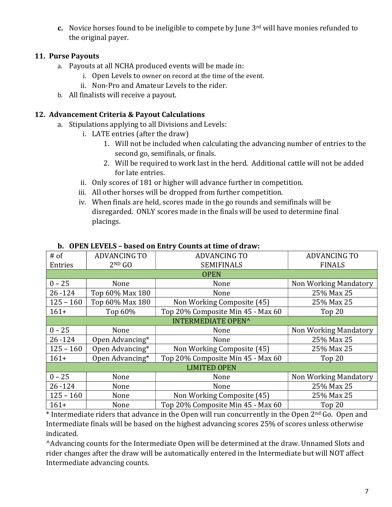c. Novice horses found to be ineligible to compete by June  $3<sup>rd</sup>$  will have monies refunded to the original payer.

### 11. Purse Payouts

- a. Payouts at all NCHA produced events will be made in:
	- i. Open Levels to owner on record at the time of the event.
	- ii. Non-Pro and Amateur Levels to the rider.
- b. All finalists will receive a payout.

### 12. Advancement Criteria & Payout Calculations

- a. Stipulations applying to all Divisions and Levels:
	- i. LATE entries (after the draw)
		- 1. Will not be included when calculating the advancing number of entries to the second go, semifinals, or finals.
		- 2. Will be required to work last in the herd. Additional cattle will not be added for late entries.
		- ii. Only scores of 181 or higher will advance further in competition.
		- iii. All other horses will be dropped from further competition.
		- iv. When finals are held, scores made in the go rounds and semifinals will be disregarded. ONLY scores made in the finals will be used to determine final placings.

| $#$ of                    | <b>ADVANCING TO</b> | <b>ADVANCING TO</b>               | <b>ADVANCING TO</b>   |  |
|---------------------------|---------------------|-----------------------------------|-----------------------|--|
| Entries                   | $2^{ND}$ GO         | <b>SEMIFINALS</b>                 | <b>FINALS</b>         |  |
|                           |                     | <b>OPEN</b>                       |                       |  |
| $0 - 25$                  | None                | None                              | Non Working Mandatory |  |
| $26 - 124$                | Top 60% Max 180     | None                              | 25% Max 25            |  |
| $125 - 160$               | Top 60% Max 180     | Non Working Composite (45)        | 25% Max 25            |  |
| $161+$                    | Top 60%             | Top 20% Composite Min 45 - Max 60 | Top 20                |  |
| <b>INTERMEDIATE OPEN^</b> |                     |                                   |                       |  |
| $0 - 25$                  | None                | None                              | Non Working Mandatory |  |
| $26 - 124$                | Open Advancing*     | None                              | 25% Max 25            |  |
| $125 - 160$               | Open Advancing*     | Non Working Composite (45)        | 25% Max 25            |  |
| $161+$                    | Open Advancing*     | Top 20% Composite Min 45 - Max 60 | Top 20                |  |
|                           | <b>LIMITED OPEN</b> |                                   |                       |  |
| $0 - 25$                  | None                | None                              | Non Working Mandatory |  |
| $26 - 124$                | None                | None                              | 25% Max 25            |  |
| $125 - 160$               | None                | Non Working Composite (45)        | 25% Max 25            |  |
| $161+$                    | None                | Top 20% Composite Min 45 - Max 60 | Top 20                |  |

#### b. OPEN LEVELS – based on Entry Counts at time of draw:

\* Intermediate riders that advance in the Open will run concurrently in the Open 2nd Go. Open and Intermediate finals will be based on the highest advancing scores 25% of scores unless otherwise indicated.

^Advancing counts for the Intermediate Open will be determined at the draw. Unnamed Slots and rider changes after the draw will be automatically entered in the Intermediate but will NOT affect Intermediate advancing counts.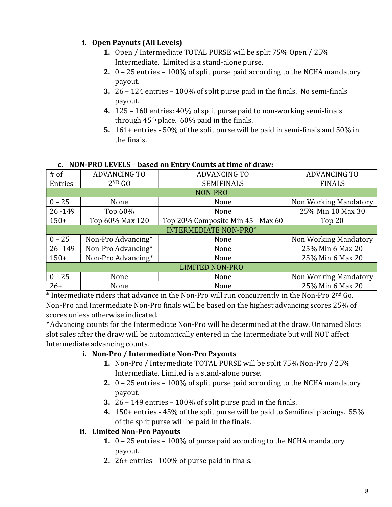## i. Open Payouts (All Levels)

- 1. Open / Intermediate TOTAL PURSE will be split 75% Open / 25% Intermediate. Limited is a stand-alone purse.
- 2. 0 25 entries 100% of split purse paid according to the NCHA mandatory payout.
- 3. 26 124 entries 100% of split purse paid in the finals. No semi-finals payout.
- 4. 125 160 entries: 40% of split purse paid to non-working semi-finals through  $45<sup>th</sup>$  place.  $60\%$  paid in the finals.
- 5. 161+ entries 50% of the split purse will be paid in semi-finals and 50% in the finals.

| $#$ of                       | <b>ADVANCING TO</b> | <b>ADVANCING TO</b>               | <b>ADVANCING TO</b>   |
|------------------------------|---------------------|-----------------------------------|-----------------------|
| Entries                      | $2^{ND}$ GO         | <b>SEMIFINALS</b>                 | <b>FINALS</b>         |
|                              |                     | NON-PRO                           |                       |
| $0 - 25$                     | None                | None                              | Non Working Mandatory |
| $26 - 149$                   | Top $60\%$          | None                              | 25% Min 10 Max 30     |
| $150+$                       | Top 60% Max 120     | Top 20% Composite Min 45 - Max 60 | Top 20                |
| <b>INTERMEDIATE NON-PRO^</b> |                     |                                   |                       |
| $0 - 25$                     | Non-Pro Advancing*  | None                              | Non Working Mandatory |
| $26 - 149$                   | Non-Pro Advancing*  | None                              | 25% Min 6 Max 20      |
| $150+$                       | Non-Pro Advancing*  | None                              | 25% Min 6 Max 20      |
| <b>LIMITED NON-PRO</b>       |                     |                                   |                       |
| $0 - 25$                     | None                | None                              | Non Working Mandatory |
| $26+$                        | None                | None                              | 25% Min 6 Max 20      |

### c. NON-PRO LEVELS – based on Entry Counts at time of draw:

\* Intermediate riders that advance in the Non-Pro will run concurrently in the Non-Pro 2nd Go. Non-Pro and Intermediate Non-Pro finals will be based on the highest advancing scores 25% of scores unless otherwise indicated.

^Advancing counts for the Intermediate Non-Pro will be determined at the draw. Unnamed Slots slot sales after the draw will be automatically entered in the Intermediate but will NOT affect Intermediate advancing counts.

## i. Non-Pro / Intermediate Non-Pro Payouts

- 1. Non-Pro / Intermediate TOTAL PURSE will be split 75% Non-Pro / 25% Intermediate. Limited is a stand-alone purse.
- 2. 0 25 entries 100% of split purse paid according to the NCHA mandatory payout.
- 3. 26 149 entries 100% of split purse paid in the finals.
- 4. 150+ entries 45% of the split purse will be paid to Semifinal placings. 55% of the split purse will be paid in the finals.

# ii. Limited Non-Pro Payouts

- 1. 0 25 entries 100% of purse paid according to the NCHA mandatory payout.
- 2. 26+ entries 100% of purse paid in finals.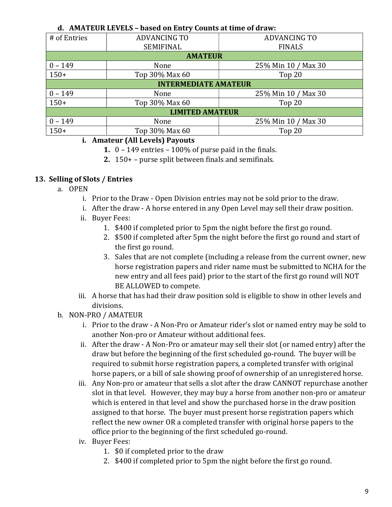| d. AMATEUR LEVELS – based on Entry Counts at time of draw: |                             |                     |  |  |
|------------------------------------------------------------|-----------------------------|---------------------|--|--|
| # of Entries                                               | <b>ADVANCING TO</b>         | <b>ADVANCING TO</b> |  |  |
|                                                            | SEMIFINAL                   | <b>FINALS</b>       |  |  |
|                                                            | <b>AMATEUR</b>              |                     |  |  |
| $0 - 149$                                                  | None                        | 25% Min 10 / Max 30 |  |  |
| $150+$                                                     | Top 30% Max 60              | Top 20              |  |  |
|                                                            | <b>INTERMEDIATE AMATEUR</b> |                     |  |  |
| $0 - 149$                                                  | None                        | 25% Min 10 / Max 30 |  |  |
| $150+$                                                     | Top 30% Max 60              | Top 20              |  |  |
| <b>LIMITED AMATEUR</b>                                     |                             |                     |  |  |
| $0 - 149$                                                  | None                        | 25% Min 10 / Max 30 |  |  |
| $150+$                                                     | Top 30% Max 60              | Top 20              |  |  |

## d. AMATEUR LEVELS – based on Entry Counts at time of draw:

#### i. Amateur (All Levels) Payouts

- 1.  $0 149$  entries  $-100\%$  of purse paid in the finals.
- 2. 150+ purse split between finals and semifinals.

#### 13. Selling of Slots / Entries

- a. OPEN
	- i. Prior to the Draw Open Division entries may not be sold prior to the draw.
	- i. After the draw A horse entered in any Open Level may sell their draw position.
	- ii. Buyer Fees:
		- 1. \$400 if completed prior to 5pm the night before the first go round.
		- 2. \$500 if completed after 5pm the night before the first go round and start of the first go round.
		- 3. Sales that are not complete (including a release from the current owner, new horse registration papers and rider name must be submitted to NCHA for the new entry and all fees paid) prior to the start of the first go round will NOT BE ALLOWED to compete.
	- iii. A horse that has had their draw position sold is eligible to show in other levels and divisions.
- b. NON-PRO / AMATEUR
	- i. Prior to the draw A Non-Pro or Amateur rider's slot or named entry may be sold to another Non-pro or Amateur without additional fees.
	- ii. After the draw A Non-Pro or amateur may sell their slot (or named entry) after the draw but before the beginning of the first scheduled go-round. The buyer will be required to submit horse registration papers, a completed transfer with original horse papers, or a bill of sale showing proof of ownership of an unregistered horse.
	- iii. Any Non-pro or amateur that sells a slot after the draw CANNOT repurchase another slot in that level. However, they may buy a horse from another non-pro or amateur which is entered in that level and show the purchased horse in the draw position assigned to that horse. The buyer must present horse registration papers which reflect the new owner OR a completed transfer with original horse papers to the office prior to the beginning of the first scheduled go-round.
	- iv. Buyer Fees:
		- 1. \$0 if completed prior to the draw
		- 2. \$400 if completed prior to 5pm the night before the first go round.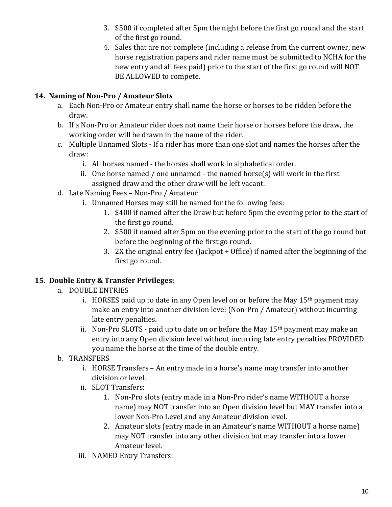- 3. \$500 if completed after 5pm the night before the first go round and the start of the first go round.
- 4. Sales that are not complete (including a release from the current owner, new horse registration papers and rider name must be submitted to NCHA for the new entry and all fees paid) prior to the start of the first go round will NOT BE ALLOWED to compete.

## 14. Naming of Non-Pro / Amateur Slots

- a. Each Non-Pro or Amateur entry shall name the horse or horses to be ridden before the draw.
- b. If a Non-Pro or Amateur rider does not name their horse or horses before the draw, the working order will be drawn in the name of the rider.
- c. Multiple Unnamed Slots If a rider has more than one slot and names the horses after the draw:
	- i. All horses named the horses shall work in alphabetical order.
	- ii. One horse named / one unnamed the named horse(s) will work in the first assigned draw and the other draw will be left vacant.
- d. Late Naming Fees Non-Pro / Amateur
	- i. Unnamed Horses may still be named for the following fees:
		- 1. \$400 if named after the Draw but before 5pm the evening prior to the start of the first go round.
		- 2. \$500 if named after 5pm on the evening prior to the start of the go round but before the beginning of the first go round.
		- 3. 2X the original entry fee (Jackpot + Office) if named after the beginning of the first go round.

## 15. Double Entry & Transfer Privileges:

- a. DOUBLE ENTRIES
	- i. HORSES paid up to date in any Open level on or before the May  $15<sup>th</sup>$  payment may make an entry into another division level (Non-Pro / Amateur) without incurring late entry penalties.
	- ii. Non-Pro SLOTS paid up to date on or before the May  $15<sup>th</sup>$  payment may make an entry into any Open division level without incurring late entry penalties PROVIDED you name the horse at the time of the double entry.
- b. TRANSFERS
	- i. HORSE Transfers An entry made in a horse's name may transfer into another division or level.
	- ii. SLOT Transfers:
		- 1. Non-Pro slots (entry made in a Non-Pro rider's name WITHOUT a horse name) may NOT transfer into an Open division level but MAY transfer into a lower Non-Pro Level and any Amateur division level.
		- 2. Amateur slots (entry made in an Amateur's name WITHOUT a horse name) may NOT transfer into any other division but may transfer into a lower Amateur level.
	- iii. NAMED Entry Transfers: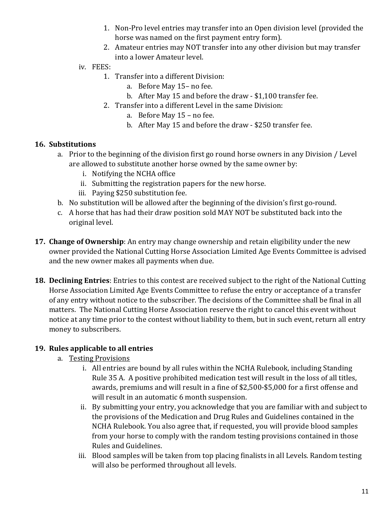- 1. Non-Pro level entries may transfer into an Open division level (provided the horse was named on the first payment entry form).
- 2. Amateur entries may NOT transfer into any other division but may transfer into a lower Amateur level.
- iv. FEES:
	- 1. Transfer into a different Division:
		- a. Before May 15– no fee.
		- b. After May 15 and before the draw \$1,100 transfer fee.
	- 2. Transfer into a different Level in the same Division:
		- a. Before May 15 no fee.
		- b. After May 15 and before the draw \$250 transfer fee.

#### 16. Substitutions

- a. Prior to the beginning of the division first go round horse owners in any Division / Level are allowed to substitute another horse owned by the same owner by:
	- i. Notifying the NCHA office
	- ii. Submitting the registration papers for the new horse.
	- iii. Paying \$250 substitution fee.
- b. No substitution will be allowed after the beginning of the division's first go-round.
- c. A horse that has had their draw position sold MAY NOT be substituted back into the original level.
- **17. Change of Ownership**: An entry may change ownership and retain eligibility under the new owner provided the National Cutting Horse Association Limited Age Events Committee is advised and the new owner makes all payments when due.
- 18. Declining Entries: Entries to this contest are received subject to the right of the National Cutting Horse Association Limited Age Events Committee to refuse the entry or acceptance of a transfer of any entry without notice to the subscriber. The decisions of the Committee shall be final in all matters. The National Cutting Horse Association reserve the right to cancel this event without notice at any time prior to the contest without liability to them, but in such event, return all entry money to subscribers.

### 19. Rules applicable to all entries

- a. Testing Provisions
	- i. All entries are bound by all rules within the NCHA Rulebook, including Standing Rule 35 A. A positive prohibited medication test will result in the loss of all titles, awards, premiums and will result in a fine of \$2,500-\$5,000 for a first offense and will result in an automatic 6 month suspension.
	- ii. By submitting your entry, you acknowledge that you are familiar with and subject to the provisions of the Medication and Drug Rules and Guidelines contained in the NCHA Rulebook. You also agree that, if requested, you will provide blood samples from your horse to comply with the random testing provisions contained in those Rules and Guidelines.
	- iii. Blood samples will be taken from top placing finalists in all Levels. Random testing will also be performed throughout all levels.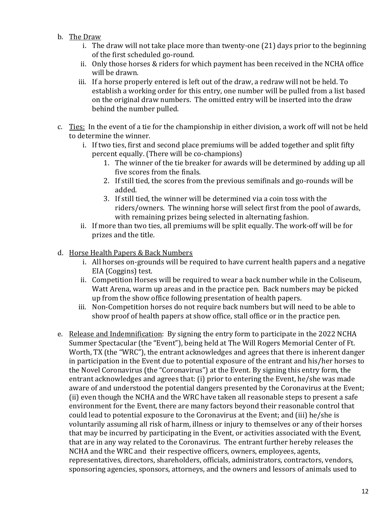- b. The Draw
	- i. The draw will not take place more than twenty-one (21) days prior to the beginning of the first scheduled go-round.
	- ii. Only those horses & riders for which payment has been received in the NCHA office will be drawn.
	- iii. If a horse properly entered is left out of the draw, a redraw will not be held. To establish a working order for this entry, one number will be pulled from a list based on the original draw numbers. The omitted entry will be inserted into the draw behind the number pulled.
- c. Ties: In the event of a tie for the championship in either division, a work off will not be held to determine the winner.
	- i. If two ties, first and second place premiums will be added together and split fifty percent equally. (There will be co-champions)
		- 1. The winner of the tie breaker for awards will be determined by adding up all five scores from the finals.
		- 2. If still tied, the scores from the previous semifinals and go-rounds will be added.
		- 3. If still tied, the winner will be determined via a coin toss with the riders/owners. The winning horse will select first from the pool of awards, with remaining prizes being selected in alternating fashion.
	- ii. If more than two ties, all premiums will be split equally. The work-off will be for prizes and the title.

### d. Horse Health Papers & Back Numbers

- i. All horses on-grounds will be required to have current health papers and a negative EIA (Coggins) test.
- ii. Competition Horses will be required to wear a back number while in the Coliseum, Watt Arena, warm up areas and in the practice pen. Back numbers may be picked up from the show office following presentation of health papers.
- iii. Non-Competition horses do not require back numbers but will need to be able to show proof of health papers at show office, stall office or in the practice pen.
- e. Release and Indemnification: By signing the entry form to participate in the 2022 NCHA Summer Spectacular (the "Event"), being held at The Will Rogers Memorial Center of Ft. Worth, TX (the "WRC"), the entrant acknowledges and agrees that there is inherent danger in participation in the Event due to potential exposure of the entrant and his/her horses to the Novel Coronavirus (the "Coronavirus") at the Event. By signing this entry form, the entrant acknowledges and agrees that: (i) prior to entering the Event, he/she was made aware of and understood the potential dangers presented by the Coronavirus at the Event; (ii) even though the NCHA and the WRC have taken all reasonable steps to present a safe environment for the Event, there are many factors beyond their reasonable control that could lead to potential exposure to the Coronavirus at the Event; and (iii) he/she is voluntarily assuming all risk of harm, illness or injury to themselves or any of their horses that may be incurred by participating in the Event, or activities associated with the Event, that are in any way related to the Coronavirus. The entrant further hereby releases the NCHA and the WRC and their respective officers, owners, employees, agents, representatives, directors, shareholders, officials, administrators, contractors, vendors, sponsoring agencies, sponsors, attorneys, and the owners and lessors of animals used to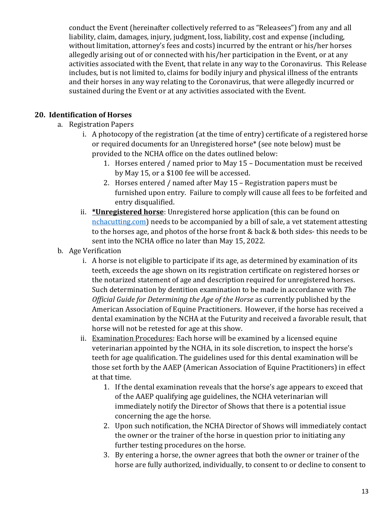conduct the Event (hereinafter collectively referred to as "Releasees") from any and all liability, claim, damages, injury, judgment, loss, liability, cost and expense (including, without limitation, attorney's fees and costs) incurred by the entrant or his/her horses allegedly arising out of or connected with his/her participation in the Event, or at any activities associated with the Event, that relate in any way to the Coronavirus. This Release includes, but is not limited to, claims for bodily injury and physical illness of the entrants and their horses in any way relating to the Coronavirus, that were allegedly incurred or sustained during the Event or at any activities associated with the Event.

## 20. Identification of Horses

- a. Registration Papers
	- i. A photocopy of the registration (at the time of entry) certificate of a registered horse or required documents for an Unregistered horse\* (see note below) must be provided to the NCHA office on the dates outlined below:
		- 1. Horses entered / named prior to May 15 Documentation must be received by May 15, or a \$100 fee will be accessed.
		- 2. Horses entered / named after May 15 Registration papers must be furnished upon entry. Failure to comply will cause all fees to be forfeited and entry disqualified.
	- ii. \*Unregistered horse: Unregistered horse application (this can be found on nchacutting.com) needs to be accompanied by a bill of sale, a vet statement attesting to the horses age, and photos of the horse front & back & both sides- this needs to be sent into the NCHA office no later than May 15, 2022.
- b. Age Verification
	- i. A horse is not eligible to participate if its age, as determined by examination of its teeth, exceeds the age shown on its registration certificate on registered horses or the notarized statement of age and description required for unregistered horses. Such determination by dentition examination to be made in accordance with The Official Guide for Determining the Age of the Horse as currently published by the American Association of Equine Practitioners. However, if the horse has received a dental examination by the NCHA at the Futurity and received a favorable result, that horse will not be retested for age at this show.
	- ii. Examination Procedures: Each horse will be examined by a licensed equine veterinarian appointed by the NCHA, in its sole discretion, to inspect the horse's teeth for age qualification. The guidelines used for this dental examination will be those set forth by the AAEP (American Association of Equine Practitioners) in effect at that time.
		- 1. If the dental examination reveals that the horse's age appears to exceed that of the AAEP qualifying age guidelines, the NCHA veterinarian will immediately notify the Director of Shows that there is a potential issue concerning the age the horse.
		- 2. Upon such notification, the NCHA Director of Shows will immediately contact the owner or the trainer of the horse in question prior to initiating any further testing procedures on the horse.
		- 3. By entering a horse, the owner agrees that both the owner or trainer of the horse are fully authorized, individually, to consent to or decline to consent to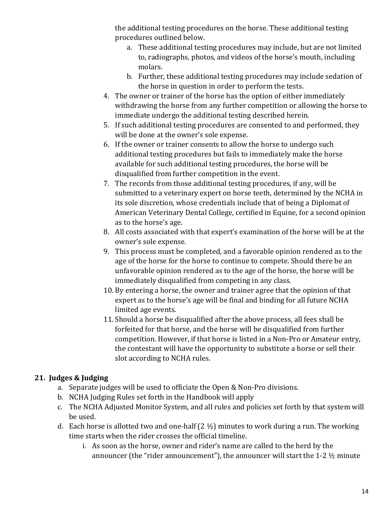the additional testing procedures on the horse. These additional testing procedures outlined below.

- a. These additional testing procedures may include, but are not limited to, radiographs, photos, and videos of the horse's mouth, including molars.
- b. Further, these additional testing procedures may include sedation of the horse in question in order to perform the tests.
- 4. The owner or trainer of the horse has the option of either immediately withdrawing the horse from any further competition or allowing the horse to immediate undergo the additional testing described herein.
- 5. If such additional testing procedures are consented to and performed, they will be done at the owner's sole expense.
- 6. If the owner or trainer consents to allow the horse to undergo such additional testing procedures but fails to immediately make the horse available for such additional testing procedures, the horse will be disqualified from further competition in the event.
- 7. The records from those additional testing procedures, if any, will be submitted to a veterinary expert on horse teeth, determined by the NCHA in its sole discretion, whose credentials include that of being a Diplomat of American Veterinary Dental College, certified in Equine, for a second opinion as to the horse's age.
- 8. All costs associated with that expert's examination of the horse will be at the owner's sole expense.
- 9. This process must be completed, and a favorable opinion rendered as to the age of the horse for the horse to continue to compete. Should there be an unfavorable opinion rendered as to the age of the horse, the horse will be immediately disqualified from competing in any class.
- 10. By entering a horse, the owner and trainer agree that the opinion of that expert as to the horse's age will be final and binding for all future NCHA limited age events.
- 11. Should a horse be disqualified after the above process, all fees shall be forfeited for that horse, and the horse will be disqualified from further competition. However, if that horse is listed in a Non-Pro or Amateur entry, the contestant will have the opportunity to substitute a horse or sell their slot according to NCHA rules.

## 21. Judges & Judging

- a. Separate judges will be used to officiate the Open & Non-Pro divisions.
- b. NCHA Judging Rules set forth in the Handbook will apply
- c. The NCHA Adjusted Monitor System, and all rules and policies set forth by that system will be used.
- d. Each horse is allotted two and one-half  $(2 \frac{1}{2})$  minutes to work during a run. The working time starts when the rider crosses the official timeline.
	- i. As soon as the horse, owner and rider's name are called to the herd by the announcer (the "rider announcement"), the announcer will start the 1-2 ½ minute